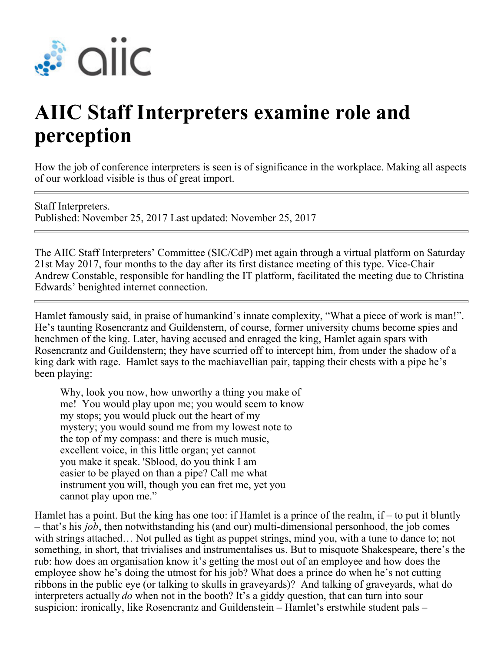

## **AIIC Staff Interpreters examine role and perception**

How the job of conference interpreters is seen is of significance in the workplace. Making all aspects of our workload visible is thus of great import.

Staff Interpreters. Published: November 25, 2017 Last updated: November 25, 2017

The AIIC Staff Interpreters' Committee (SIC/CdP) met again through a virtual platform on Saturday 21st May 2017, four months to the day after its first distance meeting of this type. Vice-Chair Andrew Constable, responsible for handling the IT platform, facilitated the meeting due to Christina Edwards' benighted internet connection.

Hamlet famously said, in praise of humankind's innate complexity, "What a piece of work is man!". He's taunting Rosencrantz and Guildenstern, of course, former university chums become spies and henchmen of the king. Later, having accused and enraged the king, Hamlet again spars with Rosencrantz and Guildenstern; they have scurried off to intercept him, from under the shadow of a king dark with rage. Hamlet says to the machiavellian pair, tapping their chests with a pipe he's been playing:

Why, look you now, how unworthy a thing you make of me! You would play upon me; you would seem to know my stops; you would pluck out the heart of my mystery; you would sound me from my lowest note to the top of my compass: and there is much music, excellent voice, in this little organ; yet cannot you make it speak. 'Sblood, do you think I am easier to be played on than a pipe? Call me what instrument you will, though you can fret me, yet you cannot play upon me."

Hamlet has a point. But the king has one too: if Hamlet is a prince of the realm, if – to put it bluntly – that's his *job*, then notwithstanding his (and our) multi-dimensional personhood, the job comes with strings attached… Not pulled as tight as puppet strings, mind you, with a tune to dance to; not something, in short, that trivialises and instrumentalises us. But to misquote Shakespeare, there's the rub: how does an organisation know it's getting the most out of an employee and how does the employee show he's doing the utmost for his job? What does a prince do when he's not cutting ribbons in the public eye (or talking to skulls in graveyards)? And talking of graveyards, what do interpreters actually *do* when not in the booth? It's a giddy question, that can turn into sour suspicion: ironically, like Rosencrantz and Guildenstein – Hamlet's erstwhile student pals –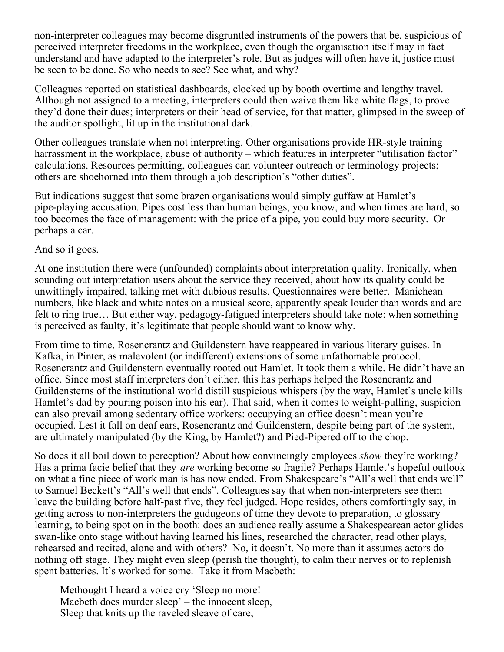non-interpreter colleagues may become disgruntled instruments of the powers that be, suspicious of perceived interpreter freedoms in the workplace, even though the organisation itself may in fact understand and have adapted to the interpreter's role. But as judges will often have it, justice must be seen to be done. So who needs to see? See what, and why?

Colleagues reported on statistical dashboards, clocked up by booth overtime and lengthy travel. Although not assigned to a meeting, interpreters could then waive them like white flags, to prove they'd done their dues; interpreters or their head of service, for that matter, glimpsed in the sweep of the auditor spotlight, lit up in the institutional dark.

Other colleagues translate when not interpreting. Other organisations provide HR-style training – harrassment in the workplace, abuse of authority – which features in interpreter "utilisation factor" calculations. Resources permitting, colleagues can volunteer outreach or terminology projects; others are shoehorned into them through a job description's "other duties".

But indications suggest that some brazen organisations would simply guffaw at Hamlet's pipe-playing accusation. Pipes cost less than human beings, you know, and when times are hard, so too becomes the face of management: with the price of a pipe, you could buy more security. Or perhaps a car.

And so it goes.

At one institution there were (unfounded) complaints about interpretation quality. Ironically, when sounding out interpretation users about the service they received, about how its quality could be unwittingly impaired, talking met with dubious results. Questionnaires were better. Manichean numbers, like black and white notes on a musical score, apparently speak louder than words and are felt to ring true… But either way, pedagogy-fatigued interpreters should take note: when something is perceived as faulty, it's legitimate that people should want to know why.

From time to time, Rosencrantz and Guildenstern have reappeared in various literary guises. In Kafka, in Pinter, as malevolent (or indifferent) extensions of some unfathomable protocol. Rosencrantz and Guildenstern eventually rooted out Hamlet. It took them a while. He didn't have an office. Since most staff interpreters don't either, this has perhaps helped the Rosencrantz and Guildensterns of the institutional world distill suspicious whispers (by the way, Hamlet's uncle kills Hamlet's dad by pouring poison into his ear). That said, when it comes to weight-pulling, suspicion can also prevail among sedentary office workers: occupying an office doesn't mean you're occupied. Lest it fall on deaf ears, Rosencrantz and Guildenstern, despite being part of the system, are ultimately manipulated (by the King, by Hamlet?) and Pied-Pipered off to the chop.

So does it all boil down to perception? About how convincingly employees *show* they're working? Has a prima facie belief that they *are* working become so fragile? Perhaps Hamlet's hopeful outlook on what a fine piece of work man is has now ended. From Shakespeare's "All's well that ends well" to Samuel Beckett's "All's well that ends". Colleagues say that when non-interpreters see them leave the building before half-past five, they feel judged. Hope resides, others comfortingly say, in getting across to non-interpreters the gudugeons of time they devote to preparation, to glossary learning, to being spot on in the booth: does an audience really assume a Shakespearean actor glides swan-like onto stage without having learned his lines, researched the character, read other plays, rehearsed and recited, alone and with others? No, it doesn't. No more than it assumes actors do nothing off stage. They might even sleep (perish the thought), to calm their nerves or to replenish spent batteries. It's worked for some. Take it from Macbeth:

Methought I heard a voice cry 'Sleep no more! Macbeth does murder sleep' – the innocent sleep, Sleep that knits up the raveled sleave of care,